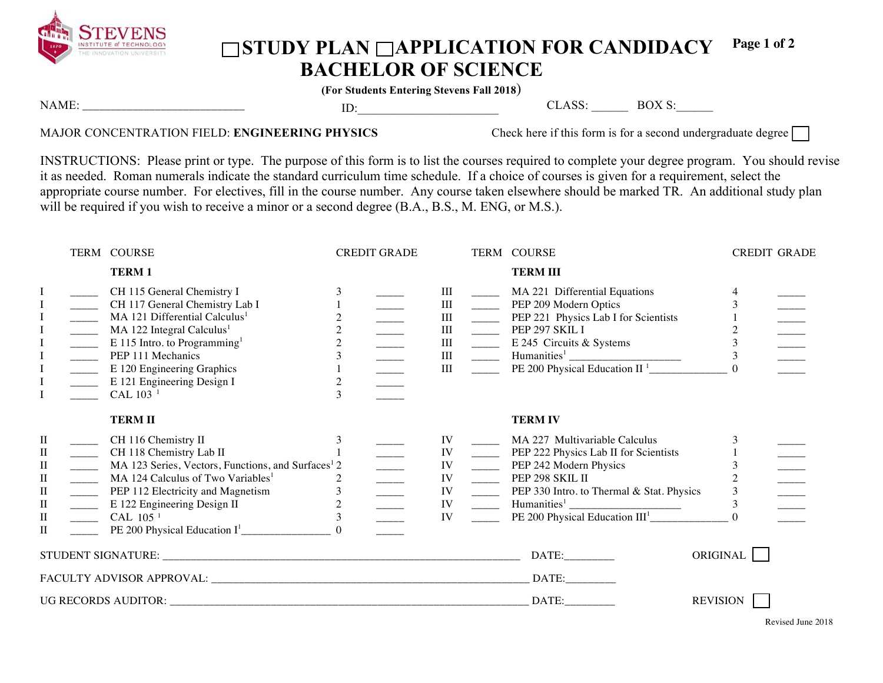

## ◯STUDY PLAN ◯APPLICATION FOR CANDIDACY **BACHELOR OF SCIENCE Page 1 of 2**

**(For Students Entering Stevens Fall 2018**)

| N | $-$ |  | $\sim$ | - - -<br>,,<br>$\sim$ |  |
|---|-----|--|--------|-----------------------|--|
| . |     |  |        |                       |  |
|   |     |  |        |                       |  |

## MAJOR CONCENTRATION FIELD: **ENGINEERING PHYSICS** Check here if this form is for a second undergraduate degree

INSTRUCTIONS: Please print or type. The purpose of this form is to list the courses required to complete your degree program. You should revise it as needed. Roman numerals indicate the standard curriculum time schedule. If a choice of courses is given for a requirement, select the appropriate course number. For electives, fill in the course number. Any course taken elsewhere should be marked TR. An additional study plan will be required if you wish to receive a minor or a second degree (B.A., B.S., M. ENG, or M.S.).

|                                                                                                       |                                                                                                                                                                                                                                                                                                                                                                                                                                                                                                                                                                                                                                                                                                                                                                              | TERM COURSE                                                                                                                                                                                                                                                                                             | <b>CREDIT GRADE</b>                   |                                           |                                                                                                                                                                                                                                                                                                                                                                                                                                                                          | TERM COURSE                                                                                                                                                              | <b>CREDIT GRADE</b> |  |
|-------------------------------------------------------------------------------------------------------|------------------------------------------------------------------------------------------------------------------------------------------------------------------------------------------------------------------------------------------------------------------------------------------------------------------------------------------------------------------------------------------------------------------------------------------------------------------------------------------------------------------------------------------------------------------------------------------------------------------------------------------------------------------------------------------------------------------------------------------------------------------------------|---------------------------------------------------------------------------------------------------------------------------------------------------------------------------------------------------------------------------------------------------------------------------------------------------------|---------------------------------------|-------------------------------------------|--------------------------------------------------------------------------------------------------------------------------------------------------------------------------------------------------------------------------------------------------------------------------------------------------------------------------------------------------------------------------------------------------------------------------------------------------------------------------|--------------------------------------------------------------------------------------------------------------------------------------------------------------------------|---------------------|--|
|                                                                                                       |                                                                                                                                                                                                                                                                                                                                                                                                                                                                                                                                                                                                                                                                                                                                                                              | <b>TERM1</b>                                                                                                                                                                                                                                                                                            |                                       |                                           |                                                                                                                                                                                                                                                                                                                                                                                                                                                                          | <b>TERM III</b>                                                                                                                                                          |                     |  |
| $\mathbf I$<br>I<br>$\bf I$<br>$\bf{I}$<br>$\bf I$<br>$\bf I$                                         | $\begin{tabular}{ c c c } \hline \quad \quad & \quad \quad & \quad \quad \\ \hline \quad \quad & \quad \quad & \quad \quad \\ \hline \quad \quad & \quad \quad & \quad \quad \\ \hline \quad \quad & \quad \quad & \quad \quad \\ \hline \quad \quad & \quad \quad & \quad \quad \\ \hline \quad \quad & \quad \quad & \quad \quad \\ \hline \quad \quad & \quad \quad & \quad \quad \\ \hline \end{tabular}$<br>$\begin{tabular}{ c c c } \hline \quad \quad & \quad \quad & \quad \quad \\ \hline \quad \quad & \quad \quad & \quad \quad \\ \hline \quad \quad & \quad \quad & \quad \quad \\ \hline \quad \quad & \quad \quad & \quad \quad \\ \hline \quad \quad & \quad \quad & \quad \quad \\ \hline \quad \quad & \quad \quad & \quad \quad \\ \hline \end{tabular}$ | CH 115 General Chemistry I<br>CH 117 General Chemistry Lab I<br>MA 121 Differential Calculus <sup>1</sup><br>MA 122 Integral Calculus <sup>1</sup><br>E 115 Intro. to Programming <sup>1</sup><br>PEP 111 Mechanics<br>E 120 Engineering Graphics<br>E 121 Engineering Design I<br>CAL 103 <sup>1</sup> | $\overline{c}$<br>$\overline{c}$<br>3 | Ш<br>III<br>III<br>III<br>III<br>Ш<br>III | $\frac{1}{2}$<br>$\frac{1}{2}$                                                                                                                                                                                                                                                                                                                                                                                                                                           | _______ MA 221 Differential Equations<br>PEP 209 Modern Optics<br>PEP 221 Physics Lab I for Scientists<br>$PEP$ 297 SKIL I<br>E 245 Circuits & Systems                   | 3<br>$\Omega$       |  |
|                                                                                                       |                                                                                                                                                                                                                                                                                                                                                                                                                                                                                                                                                                                                                                                                                                                                                                              | <b>TERMII</b>                                                                                                                                                                                                                                                                                           |                                       |                                           |                                                                                                                                                                                                                                                                                                                                                                                                                                                                          | <b>TERM IV</b>                                                                                                                                                           |                     |  |
| $\mathbf{I}$<br>П<br>$\rm _{II}$<br>$\mathbf{I}$<br>$\mathbf{I}$<br>$\rm II$<br>$\rm II$<br>$\rm{II}$ | $\mathcal{L}(\mathcal{L})$<br>$\frac{1}{1}$<br>$\overline{\phantom{a}}$<br>$\overline{\phantom{a}}$<br>$\frac{1}{2}$                                                                                                                                                                                                                                                                                                                                                                                                                                                                                                                                                                                                                                                         | CH 116 Chemistry II<br>CH 118 Chemistry Lab II<br>MA 123 Series, Vectors, Functions, and Surfaces <sup>1</sup> 2<br>MA 124 Calculus of Two Variables <sup>1</sup><br>PEP 112 Electricity and Magnetism<br>E 122 Engineering Design II<br>CAL 105 <sup>1</sup>                                           | 2<br>$\mathfrak{Z}$                   | IV<br>IV<br>IV<br>IV<br>IV<br>IV<br>IV    | $\frac{1}{2}$<br>$\frac{1}{1}$<br>$\frac{1}{2}$<br>$\frac{1}{1-\frac{1}{1-\frac{1}{1-\frac{1}{1-\frac{1}{1-\frac{1}{1-\frac{1}{1-\frac{1}{1-\frac{1}{1-\frac{1}{1-\frac{1}{1-\frac{1}{1-\frac{1}{1-\frac{1}{1-\frac{1}{1-\frac{1}{1-\frac{1}{1-\frac{1}{1-\frac{1}{1-\frac{1}{1-\frac{1}{1-\frac{1}{1-\frac{1}{1-\frac{1}{1-\frac{1}{1-\frac{1}{1-\frac{1}{1-\frac{1}{1-\frac{1}{1-\frac{1}{1-\frac{1}{1-\frac{1}{1-\frac{1}{1-\frac{1}{1-\frac{1}{1-\frac{1}{1-\frac{1$ | MA 227 Multivariable Calculus<br>PEP 222 Physics Lab II for Scientists<br>PEP 242 Modern Physics<br>PEP 298 SKIL II<br>_______ PEP 330 Intro. to Thermal & Stat. Physics | 3<br>3              |  |
|                                                                                                       |                                                                                                                                                                                                                                                                                                                                                                                                                                                                                                                                                                                                                                                                                                                                                                              |                                                                                                                                                                                                                                                                                                         |                                       |                                           |                                                                                                                                                                                                                                                                                                                                                                                                                                                                          | DATE:                                                                                                                                                                    | ORIGINAL            |  |
|                                                                                                       |                                                                                                                                                                                                                                                                                                                                                                                                                                                                                                                                                                                                                                                                                                                                                                              |                                                                                                                                                                                                                                                                                                         |                                       |                                           |                                                                                                                                                                                                                                                                                                                                                                                                                                                                          | DATE:                                                                                                                                                                    |                     |  |
|                                                                                                       |                                                                                                                                                                                                                                                                                                                                                                                                                                                                                                                                                                                                                                                                                                                                                                              |                                                                                                                                                                                                                                                                                                         |                                       |                                           |                                                                                                                                                                                                                                                                                                                                                                                                                                                                          | DATA:                                                                                                                                                                    | <b>REVISION</b>     |  |